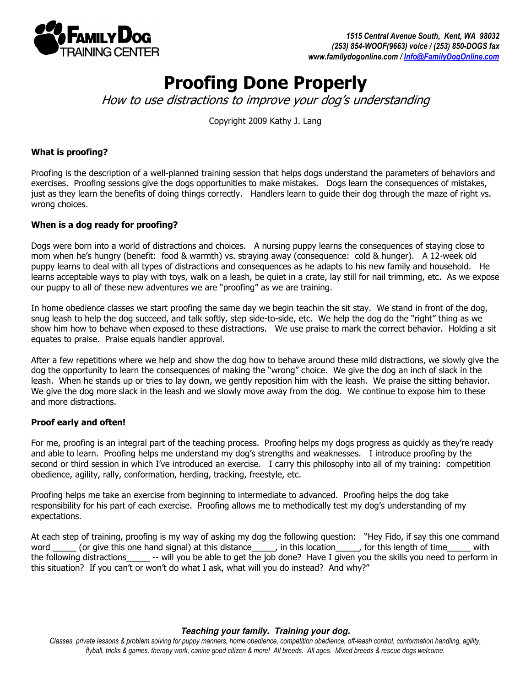

# Proofing Done Properly

How to use distractions to improve your dog's understanding

Copyright 2009 Kathy J. Lang

## What is proofing?

Proofing is the description of a well-planned training session that helps dogs understand the parameters of behaviors and exercises. Proofing sessions give the dogs opportunities to make mistakes. Dogs learn the consequences of mistakes, just as they learn the benefits of doing things correctly. Handlers learn to guide their dog through the maze of right vs. wrong choices.

## When is a dog ready for proofing?

Dogs were born into a world of distractions and choices. A nursing puppy learns the consequences of staying close to mom when he's hungry (benefit: food & warmth) vs. straying away (consequence: cold & hunger). A 12-week old puppy learns to deal with all types of distractions and consequences as he adapts to his new family and household. He learns acceptable ways to play with toys, walk on a leash, be quiet in a crate, lay still for nail trimming, etc. As we expose our puppy to all of these new adventures we are "proofing" as we are training.

In home obedience classes we start proofing the same day we begin teachin the sit stay. We stand in front of the dog, snug leash to help the dog succeed, and talk softly, step side-to-side, etc. We help the dog do the "right" thing as we show him how to behave when exposed to these distractions. We use praise to mark the correct behavior. Holding a sit equates to praise. Praise equals handler approval.

After a few repetitions where we help and show the dog how to behave around these mild distractions, we slowly give the dog the opportunity to learn the consequences of making the "wrong" choice. We give the dog an inch of slack in the leash. When he stands up or tries to lay down, we gently reposition him with the leash. We praise the sitting behavior. We give the dog more slack in the leash and we slowly move away from the dog. We continue to expose him to these and more distractions.

## Proof early and often!

For me, proofing is an integral part of the teaching process. Proofing helps my dogs progress as quickly as they're ready and able to learn. Proofing helps me understand my dog's strengths and weaknesses. I introduce proofing by the second or third session in which I've introduced an exercise. I carry this philosophy into all of my training: competition obedience, agility, rally, conformation, herding, tracking, freestyle, etc.

Proofing helps me take an exercise from beginning to intermediate to advanced. Proofing helps the dog take responsibility for his part of each exercise. Proofing allows me to methodically test my dog's understanding of my expectations.

At each step of training, proofing is my way of asking my dog the following question: "Hey Fido, if say this one command word \_\_\_\_\_\_ (or give this one hand signal) at this distance\_\_\_\_\_, in this location\_\_\_\_\_, for this length of time\_\_\_\_\_ with the following distractions\_\_\_\_\_ -- will you be able to get the job done? Have I given you the skills you need to perform in this situation? If you can't or won't do what I ask, what will you do instead? And why?"

#### **Teaching your family. Training your dog.**

Classes, private lessons & problem solving for puppy manners, home obedience, competition obedience, off-leash control, conformation handling, agility, flyball, tricks & games, therapy work, canine good citizen & more! All breeds. All ages. Mixed breeds & rescue dogs welcome.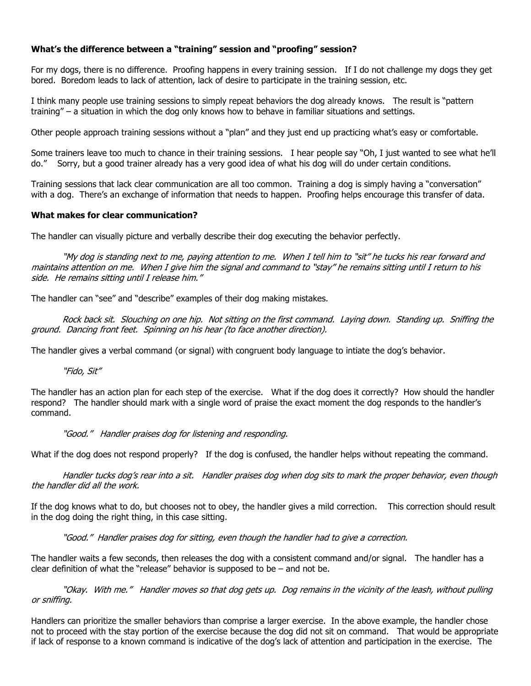## What's the difference between a "training" session and "proofing" session?

For my dogs, there is no difference. Proofing happens in every training session. If I do not challenge my dogs they get bored. Boredom leads to lack of attention, lack of desire to participate in the training session, etc.

I think many people use training sessions to simply repeat behaviors the dog already knows. The result is "pattern training" – a situation in which the dog only knows how to behave in familiar situations and settings.

Other people approach training sessions without a "plan" and they just end up practicing what's easy or comfortable.

Some trainers leave too much to chance in their training sessions. I hear people say "Oh, I just wanted to see what he'll do." Sorry, but a good trainer already has a very good idea of what his dog will do under certain conditions.

Training sessions that lack clear communication are all too common. Training a dog is simply having a "conversation" with a dog. There's an exchange of information that needs to happen. Proofing helps encourage this transfer of data.

#### What makes for clear communication?

The handler can visually picture and verbally describe their dog executing the behavior perfectly.

"My dog is standing next to me, paying attention to me. When I tell him to "sit" he tucks his rear forward and maintains attention on me. When I give him the signal and command to "stay" he remains sitting until I return to his side. He remains sitting until I release him."

The handler can "see" and "describe" examples of their dog making mistakes.

Rock back sit. Slouching on one hip. Not sitting on the first command. Laying down. Standing up. Sniffing the ground. Dancing front feet. Spinning on his hear (to face another direction).

The handler gives a verbal command (or signal) with congruent body language to intiate the dog's behavior.

"Fido, Sit"

The handler has an action plan for each step of the exercise. What if the dog does it correctly? How should the handler respond? The handler should mark with a single word of praise the exact moment the dog responds to the handler's command.

#### "Good." Handler praises dog for listening and responding.

What if the dog does not respond properly? If the dog is confused, the handler helps without repeating the command.

Handler tucks dog's rear into a sit. Handler praises dog when dog sits to mark the proper behavior, even though the handler did all the work.

If the dog knows what to do, but chooses not to obey, the handler gives a mild correction. This correction should result in the dog doing the right thing, in this case sitting.

"Good." Handler praises dog for sitting, even though the handler had to give a correction.

The handler waits a few seconds, then releases the dog with a consistent command and/or signal. The handler has a clear definition of what the "release" behavior is supposed to be – and not be.

 "Okay. With me." Handler moves so that dog gets up. Dog remains in the vicinity of the leash, without pulling or sniffing.

Handlers can prioritize the smaller behaviors than comprise a larger exercise. In the above example, the handler chose not to proceed with the stay portion of the exercise because the dog did not sit on command. That would be appropriate if lack of response to a known command is indicative of the dog's lack of attention and participation in the exercise. The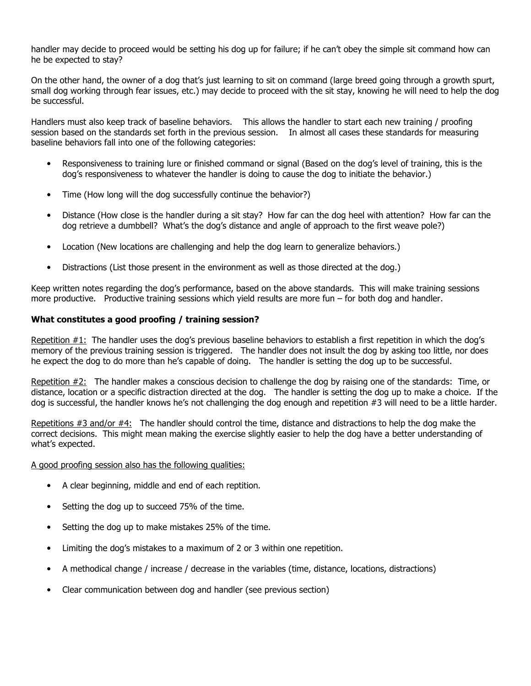handler may decide to proceed would be setting his dog up for failure; if he can't obey the simple sit command how can he be expected to stay?

On the other hand, the owner of a dog that's just learning to sit on command (large breed going through a growth spurt, small dog working through fear issues, etc.) may decide to proceed with the sit stay, knowing he will need to help the dog be successful.

Handlers must also keep track of baseline behaviors. This allows the handler to start each new training / proofing session based on the standards set forth in the previous session. In almost all cases these standards for measuring baseline behaviors fall into one of the following categories:

- Responsiveness to training lure or finished command or signal (Based on the dog's level of training, this is the dog's responsiveness to whatever the handler is doing to cause the dog to initiate the behavior.)
- Time (How long will the dog successfully continue the behavior?)
- Distance (How close is the handler during a sit stay? How far can the dog heel with attention? How far can the dog retrieve a dumbbell? What's the dog's distance and angle of approach to the first weave pole?)
- Location (New locations are challenging and help the dog learn to generalize behaviors.)
- Distractions (List those present in the environment as well as those directed at the dog.)

Keep written notes regarding the dog's performance, based on the above standards. This will make training sessions more productive. Productive training sessions which yield results are more fun – for both dog and handler.

## What constitutes a good proofing / training session?

Repetition #1: The handler uses the dog's previous baseline behaviors to establish a first repetition in which the dog's memory of the previous training session is triggered. The handler does not insult the dog by asking too little, nor does he expect the dog to do more than he's capable of doing. The handler is setting the dog up to be successful.

Repetition #2: The handler makes a conscious decision to challenge the dog by raising one of the standards: Time, or distance, location or a specific distraction directed at the dog. The handler is setting the dog up to make a choice. If the dog is successful, the handler knows he's not challenging the dog enough and repetition #3 will need to be a little harder.

Repetitions #3 and/or #4: The handler should control the time, distance and distractions to help the dog make the correct decisions. This might mean making the exercise slightly easier to help the dog have a better understanding of what's expected.

A good proofing session also has the following qualities:

- A clear beginning, middle and end of each reptition.
- Setting the dog up to succeed 75% of the time.
- Setting the dog up to make mistakes 25% of the time.
- Limiting the dog's mistakes to a maximum of 2 or 3 within one repetition.
- A methodical change / increase / decrease in the variables (time, distance, locations, distractions)
- Clear communication between dog and handler (see previous section)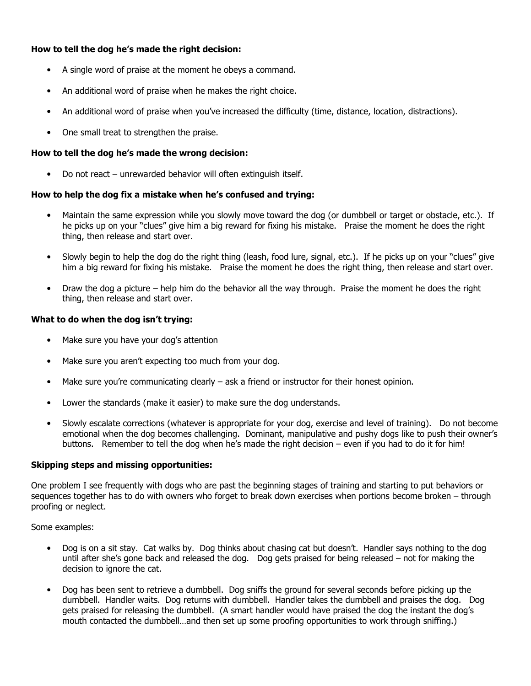## How to tell the dog he's made the right decision:

- A single word of praise at the moment he obeys a command.
- An additional word of praise when he makes the right choice.
- An additional word of praise when you've increased the difficulty (time, distance, location, distractions).
- One small treat to strengthen the praise.

#### How to tell the dog he's made the wrong decision:

• Do not react – unrewarded behavior will often extinguish itself.

#### How to help the dog fix a mistake when he's confused and trying:

- Maintain the same expression while you slowly move toward the dog (or dumbbell or target or obstacle, etc.). If he picks up on your "clues" give him a big reward for fixing his mistake. Praise the moment he does the right thing, then release and start over.
- Slowly begin to help the dog do the right thing (leash, food lure, signal, etc.). If he picks up on your "clues" give him a big reward for fixing his mistake. Praise the moment he does the right thing, then release and start over.
- Draw the dog a picture help him do the behavior all the way through. Praise the moment he does the right thing, then release and start over.

#### What to do when the dog isn't trying:

- Make sure you have your dog's attention
- Make sure you aren't expecting too much from your dog.
- Make sure you're communicating clearly  $-$  ask a friend or instructor for their honest opinion.
- Lower the standards (make it easier) to make sure the dog understands.
- Slowly escalate corrections (whatever is appropriate for your dog, exercise and level of training). Do not become emotional when the dog becomes challenging. Dominant, manipulative and pushy dogs like to push their owner's buttons. Remember to tell the dog when he's made the right decision – even if you had to do it for him!

#### Skipping steps and missing opportunities:

One problem I see frequently with dogs who are past the beginning stages of training and starting to put behaviors or sequences together has to do with owners who forget to break down exercises when portions become broken – through proofing or neglect.

Some examples:

- Dog is on a sit stay. Cat walks by. Dog thinks about chasing cat but doesn't. Handler says nothing to the dog until after she's gone back and released the dog. Dog gets praised for being released – not for making the decision to ignore the cat.
- Dog has been sent to retrieve a dumbbell. Dog sniffs the ground for several seconds before picking up the dumbbell. Handler waits. Dog returns with dumbbell. Handler takes the dumbbell and praises the dog. Dog gets praised for releasing the dumbbell. (A smart handler would have praised the dog the instant the dog's mouth contacted the dumbbell…and then set up some proofing opportunities to work through sniffing.)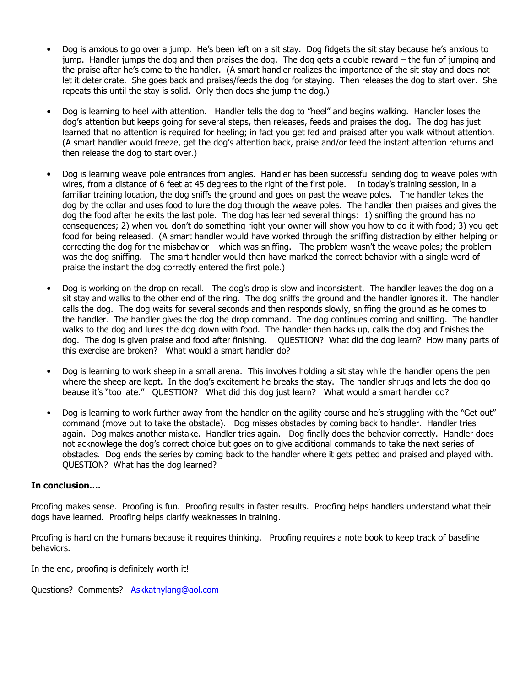- Dog is anxious to go over a jump. He's been left on a sit stay. Dog fidgets the sit stay because he's anxious to jump. Handler jumps the dog and then praises the dog. The dog gets a double reward – the fun of jumping and the praise after he's come to the handler. (A smart handler realizes the importance of the sit stay and does not let it deteriorate. She goes back and praises/feeds the dog for staying. Then releases the dog to start over. She repeats this until the stay is solid. Only then does she jump the dog.)
- Dog is learning to heel with attention. Handler tells the dog to "heel" and begins walking. Handler loses the dog's attention but keeps going for several steps, then releases, feeds and praises the dog. The dog has just learned that no attention is required for heeling; in fact you get fed and praised after you walk without attention. (A smart handler would freeze, get the dog's attention back, praise and/or feed the instant attention returns and then release the dog to start over.)
- Dog is learning weave pole entrances from angles. Handler has been successful sending dog to weave poles with wires, from a distance of 6 feet at 45 degrees to the right of the first pole. In today's training session, in a familiar training location, the dog sniffs the ground and goes on past the weave poles. The handler takes the dog by the collar and uses food to lure the dog through the weave poles. The handler then praises and gives the dog the food after he exits the last pole. The dog has learned several things: 1) sniffing the ground has no consequences; 2) when you don't do something right your owner will show you how to do it with food; 3) you get food for being released. (A smart handler would have worked through the sniffing distraction by either helping or correcting the dog for the misbehavior – which was sniffing. The problem wasn't the weave poles; the problem was the dog sniffing. The smart handler would then have marked the correct behavior with a single word of praise the instant the dog correctly entered the first pole.)
- Dog is working on the drop on recall. The dog's drop is slow and inconsistent. The handler leaves the dog on a sit stay and walks to the other end of the ring. The dog sniffs the ground and the handler ignores it. The handler calls the dog. The dog waits for several seconds and then responds slowly, sniffing the ground as he comes to the handler. The handler gives the dog the drop command. The dog continues coming and sniffing. The handler walks to the dog and lures the dog down with food. The handler then backs up, calls the dog and finishes the dog. The dog is given praise and food after finishing. QUESTION? What did the dog learn? How many parts of this exercise are broken? What would a smart handler do?
- Dog is learning to work sheep in a small arena. This involves holding a sit stay while the handler opens the pen where the sheep are kept. In the dog's excitement he breaks the stay. The handler shrugs and lets the dog go beause it's "too late." QUESTION? What did this dog just learn? What would a smart handler do?
- Dog is learning to work further away from the handler on the agility course and he's struggling with the "Get out" command (move out to take the obstacle). Dog misses obstacles by coming back to handler. Handler tries again. Dog makes another mistake. Handler tries again. Dog finally does the behavior correctly. Handler does not acknowlege the dog's correct choice but goes on to give additional commands to take the next series of obstacles. Dog ends the series by coming back to the handler where it gets petted and praised and played with. QUESTION? What has the dog learned?

## In conclusion….

Proofing makes sense. Proofing is fun. Proofing results in faster results. Proofing helps handlers understand what their dogs have learned. Proofing helps clarify weaknesses in training.

Proofing is hard on the humans because it requires thinking. Proofing requires a note book to keep track of baseline behaviors.

In the end, proofing is definitely worth it!

Questions? Comments? Askkathylang@aol.com